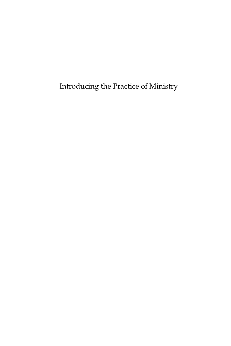Introducing the Practice of Ministry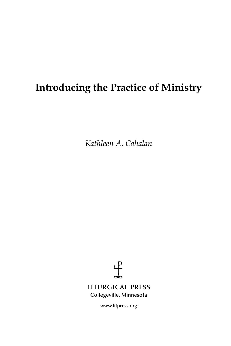# **Introducing the Practice of Ministry**

*Kathleen A. Cahalan*



**www.litpress.org**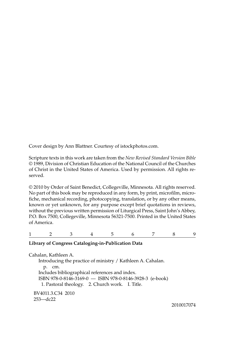Cover design by Ann Blattner. Courtesy of istockphotos.com.

Scripture texts in this work are taken from the *New Revised Standard Version Bible* © 1989, Division of Christian Education of the National Council of the Churches of Christ in the United States of America. Used by permission. All rights reserved.

© 2010 by Order of Saint Benedict, Collegeville, Minnesota. All rights reserved. No part of this book may be reproduced in any form, by print, microfilm, microfiche, mechanical recording, photocopying, translation, or by any other means, known or yet unknown, for any purpose except brief quotations in reviews, without the previous written permission of Liturgical Press, Saint John's Abbey, P.O. Box 7500, Collegeville, Minnesota 56321-7500. Printed in the United States of America.

123456789

#### **Library of Congress Cataloging-in-Publication Data**

Cahalan, Kathleen A. Introducing the practice of ministry / Kathleen A. Cahalan. p. cm. Includes bibliographical references and index. ISBN 978-0-8146-3169-0 — ISBN 978-0-8146-3928-3 (e-book) 1. Pastoral theology. 2. Church work. I. Title. BV4011.3.C34 2010 253—dc22

2010017074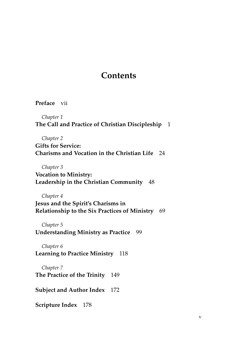### **Contents**

**Preface** vii

*Chapter 1* **The Call and Practice of Christian Discipleship** 1

*Chapter 2* **Gifts for Service: Charisms and Vocation in the Christian Life** 24

*Chapter 3*

**Vocation to Ministry: Leadership in the Christian Community** 48

*Chapter 4*

**Jesus and the Spirit's Charisms in Relationship to the Six Practices of Ministry** 69

*Chapter 5* **Understanding Ministry as Practice** 99

*Chapter 6* **Learning to Practice Ministry** 118

*Chapter 7* **The Practice of the Trinity** 149

**Subject and Author Index** 172

**Scripture Index** 178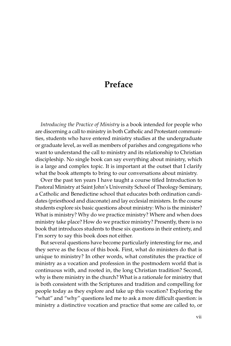### **Preface**

*Introducing the Practice of Ministry* is a book intended for people who are discerning a call to ministry in both Catholic and Protestant communities, students who have entered ministry studies at the undergraduate or graduate level, as well as members of parishes and congregations who want to understand the call to ministry and its relationship to Christian discipleship. No single book can say everything about ministry, which is a large and complex topic. It is important at the outset that I clarify what the book attempts to bring to our conversations about ministry.

Over the past ten years I have taught a course titled Introduction to Pastoral Ministry at Saint John's University School of Theology·Seminary, a Catholic and Benedictine school that educates both ordination candidates (priesthood and diaconate) and lay ecclesial ministers. In the course students explore six basic questions about ministry: Who is the minister? What is ministry? Why do we practice ministry? Where and when does ministry take place? How do we practice ministry? Presently, there is no book that introduces students to these six questions in their entirety, and I'm sorry to say this book does not either.

But several questions have become particularly interesting for me, and they serve as the focus of this book. First, what do ministers do that is unique to ministry? In other words, what constitutes the practice of ministry as a vocation and profession in the postmodern world that is continuous with, and rooted in, the long Christian tradition? Second, why is there ministry in the church? What is a rationale for ministry that is both consistent with the Scriptures and tradition and compelling for people today as they explore and take up this vocation? Exploring the "what" and "why" questions led me to ask a more difficult question: is ministry a distinctive vocation and practice that some are called to, or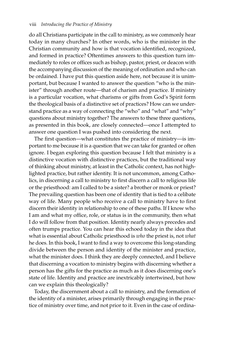do all Christians participate in the call to ministry, as we commonly hear today in many churches? In other words, who is the minister in the Christian community and how is that vocation identified, recognized, and formed in practice? Oftentimes answers to this question turn immediately to roles or offices such as bishop, pastor, priest, or deacon with the accompanying discussion of the meaning of ordination and who can be ordained. I have put this question aside here, not because it is unimportant, but because I wanted to answer the question "who is the minister" through another route—that of charism and practice. If ministry is a particular vocation, what charisms or gifts from God's Spirit form the theological basis of a distinctive set of practices? How can we understand practice as a way of connecting the "who" and "what" and "why" questions about ministry together? The answers to these three questions, as presented in this book, are closely connected—once I attempted to answer one question I was pushed into considering the next.

The first question—what constitutes the practice of ministry—is important to me because it is a question that we can take for granted or often ignore. I began exploring this question because I felt that ministry is a distinctive vocation with distinctive practices, but the traditional way of thinking about ministry, at least in the Catholic context, has not highlighted practice, but rather identity. It is not uncommon, among Catholics, in discerning a call to ministry to first discern a call to religious life or the priesthood: am I called to be a sister? a brother or monk or priest? The prevailing question has been one of identity that is tied to a celibate way of life. Many people who receive a call to ministry have to first discern their identity in relationship to one of these paths. If I know who I am and what my office, role, or status is in the community, then what I do will follow from that position. Identity nearly always precedes and often trumps practice. You can hear this echoed today in the idea that what is essential about Catholic priesthood is *who* the priest is, not *what* he does. In this book, I want to find a way to overcome this long-standing divide between the person and identity of the minister and practice, what the minister does. I think they are deeply connected, and I believe that discerning a vocation to ministry begins with discerning whether a person has the gifts for the practice as much as it does discerning one's state of life. Identity and practice are inextricably intertwined, but how can we explain this theologically?

Today, the discernment about a call to ministry, and the formation of the identity of a minister, arises primarily through engaging in the practice of ministry over time, and not prior to it. Even in the case of ordina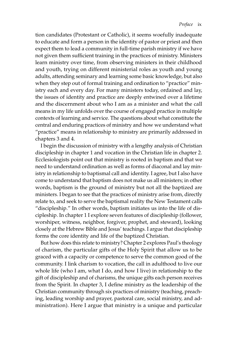tion candidates (Protestant or Catholic), it seems woefully inadequate to educate and form a person in the identity of pastor or priest and then expect them to lead a community in full-time parish ministry if we have not given them sufficient training in the practices of ministry. Ministers learn ministry over time, from observing ministers in their childhood and youth, trying on different ministerial roles as youth and young adults, attending seminary and learning some basic knowledge, but also when they step out of formal training and ordination to "practice" ministry each and every day. For many ministers today, ordained and lay, the issues of identity and practice are deeply entwined over a lifetime and the discernment about who I am as a minister and what the call means in my life unfolds over the course of engaged practice in multiple contexts of learning and service. The questions about what constitute the central and enduring practices of ministry and how we understand what "practice" means in relationship to ministry are primarily addressed in chapters 3 and 4.

I begin the discussion of ministry with a lengthy analysis of Christian discipleship in chapter 1 and vocation in the Christian life in chapter 2. Ecclesiologists point out that ministry is rooted in baptism and that we need to understand ordination as well as forms of diaconal and lay ministry in relationship to baptismal call and identity. I agree, but I also have come to understand that baptism does not make us all ministers; in other words, baptism is the ground of ministry but not all the baptized are ministers. I began to see that the practices of ministry arise from, directly relate to, and seek to serve the baptismal reality the New Testament calls "discipleship." In other words, baptism initiates us into the life of discipleship. In chapter 1 I explore seven features of discipleship (follower, worshiper, witness, neighbor, forgiver, prophet, and steward), looking closely at the Hebrew Bible and Jesus' teachings. I argue that discipleship forms the core identity and life of the baptized Christian.

But how does this relate to ministry? Chapter 2 explores Paul's theology of charism, the particular gifts of the Holy Spirit that allow us to be graced with a capacity or competence to serve the common good of the community. I link charism to vocation, the call in adulthood to live our whole life (who I am, what I do, and how I live) in relationship to the gift of discipleship and of charisms, the unique gifts each person receives from the Spirit. In chapter 3, I define ministry as the leadership of the Christian community through six practices of ministry (teaching, preaching, leading worship and prayer, pastoral care, social ministry, and administration). Here I argue that ministry is a unique and particular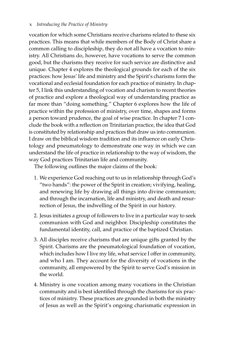vocation for which some Christians receive charisms related to these six practices. This means that while members of the Body of Christ share a common calling to discipleship, they do not all have a vocation to ministry. All Christians do, however, have vocations to serve the common good, but the charisms they receive for such service are distinctive and unique. Chapter 4 explores the theological grounds for each of the six practices: how Jesus' life and ministry and the Spirit's charisms form the vocational and ecclesial foundation for each practice of ministry. In chapter 5, I link this understanding of vocation and charism to recent theories of practice and explore a theological way of understanding practice as far more than "doing something." Chapter 6 explores how the life of practice within the profession of ministry, over time, shapes and forms a person toward prudence, the goal of wise practice. In chapter 7 I conclude the book with a reflection on Trinitarian practice, the idea that God is constituted by relationship and practices that draw us into communion. I draw on the biblical wisdom tradition and its influence on early Christology and pneumatology to demonstrate one way in which we can understand the life of practice in relationship to the way of wisdom, the way God practices Trinitarian life and community.

The following outlines the major claims of the book:

- 1. We experience God reaching out to us in relationship through God's "two hands": the power of the Spirit in creation; vivifying, healing, and renewing life by drawing all things into divine communion; and through the incarnation, life and ministry, and death and resurrection of Jesus, the indwelling of the Spirit in our history.
- 2. Jesus initiates a group of followers to live in a particular way to seek communion with God and neighbor. Discipleship constitutes the fundamental identity, call, and practice of the baptized Christian.
- 3. All disciples receive charisms that are unique gifts granted by the Spirit. Charisms are the pneumatological foundation of vocation, which includes how I live my life, what service I offer in community, and who I am. They account for the diversity of vocations in the community, all empowered by the Spirit to serve God's mission in the world.
- 4. Ministry is one vocation among many vocations in the Christian community and is best identified through the charisms for six practices of ministry. These practices are grounded in both the ministry of Jesus as well as the Spirit's ongoing charismatic expression in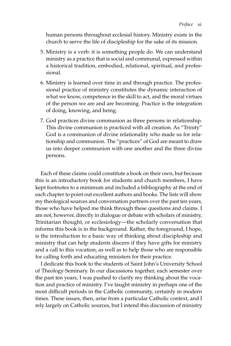human persons throughout ecclesial history. Ministry exists in the church to serve the life of discipleship for the sake of its mission.

- 5. Ministry is a verb: it is something people do. We can understand ministry as a practice that is social and communal, expressed within a historical tradition, embodied, relational, spiritual, and professional.
- 6. Ministry is learned over time in and through practice. The professional practice of ministry constitutes the dynamic interaction of what we know, competence in the skill to act, and the moral virtues of the person we are and are becoming. Practice is the integration of doing, knowing, and being.
- 7. God practices divine communion as three persons in relationship. This divine communion is practiced with all creation. As "Trinity" God is a communion of divine relationality who made us for relationship and communion. The "practices" of God are meant to draw us into deeper communion with one another and the three divine persons.

Each of these claims could constitute a book on their own, but because this is an introductory book for students and church members, I have kept footnotes to a minimum and included a bibliography at the end of each chapter to point out excellent authors and books. The lists will show my theological sources and conversation partners over the past ten years, those who have helped me think through these questions and claims. I am not, however, directly in dialogue or debate with scholars of ministry, Trinitarian thought, or ecclesiology—the scholarly conversation that informs this book is in the background. Rather, the foreground, I hope, is the introduction to a basic way of thinking about discipleship and ministry that can help students discern if they have gifts for ministry and a call to this vocation, as well as to help those who are responsible for calling forth and educating ministers for their practice.

I dedicate this book to the students of Saint John's University School of Theology·Seminary. In our discussions together, each semester over the past ten years, I was pushed to clarify my thinking about the vocation and practice of ministry. I've taught ministry in perhaps one of the most difficult periods in the Catholic community, certainly in modern times. These issues, then, arise from a particular Catholic context, and I rely largely on Catholic sources, but I intend this discussion of ministry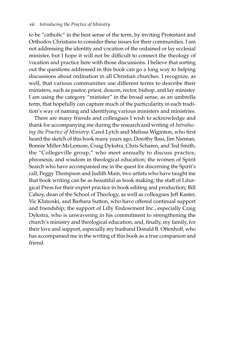to be "catholic" in the best sense of the term, by inviting Protestant and Orthodox Christians to consider these issues for their communities. I am not addressing the identity and vocation of the ordained or lay ecclesial minister, but I hope it will not be difficult to connect the theology of vocation and practice here with those discussions. I believe that sorting out the questions addressed in this book can go a long way to helping discussions about ordination in all Christian churches. I recognize, as well, that various communities use different terms to describe their ministers, such as pastor, priest, deacon, rector, bishop, and lay minister. I am using the category "minister" in the broad sense, as an umbrella term, that hopefully can capture much of the particularity in each tradition's way of naming and identifying various ministers and ministries.

There are many friends and colleagues I wish to acknowledge and thank for accompanying me during the research and writing of *Introducing the Practice of Ministry*: Carol Lytch and Melissa Wiginton, who first heard the sketch of this book many years ago; Dorothy Bass, Jim Nieman, Bonnie Miller-McLemore, Craig Dykstra, Chris Scharen, and Ted Smith, the "Collegeville group," who meet annually to discuss practice, phronesis, and wisdom in theological education; the women of Spirit Search who have accompanied me in the quest for discerning the Spirit's call; Peggy Thompson and Judith Main, two artists who have taught me that book writing can be as beautiful as book making; the staff of Liturgical Press for their expert practice in book editing and production; Bill Cahoy, dean of the School of Theology, as well as colleagues Jeff Kaster, Vic Klimoski, and Barbara Sutton, who have offered continual support and friendship; the support of Lilly Endowment Inc., especially Craig Dykstra, who is unwavering in his commitment to strengthening the church's ministry and theological education; and, finally, my family, for their love and support, especially my husband Donald B. Ottenhoff, who has accompanied me in the writing of this book as a true companion and friend.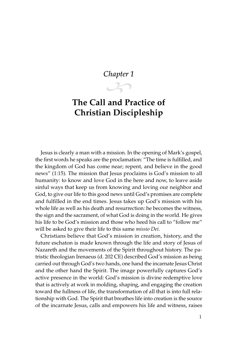### *Chapter 1*

 $\mathcal{L}$ 

## **The Call and Practice of Christian Discipleship**

Jesus is clearly a man with a mission. In the opening of Mark's gospel, the first words he speaks are the proclamation: "The time is fulfilled, and the kingdom of God has come near; repent, and believe in the good news" (1:15). The mission that Jesus proclaims is God's mission to all humanity: to know and love God in the here and now, to leave aside sinful ways that keep us from knowing and loving our neighbor and God, to give our life to this good news until God's promises are complete and fulfilled in the end times. Jesus takes up God's mission with his whole life as well as his death and resurrection: he becomes the witness, the sign and the sacrament, of what God is doing in the world. He gives his life to be God's mission and those who heed his call to "follow me" will be asked to give their life to this same *missio Dei*.

Christians believe that God's mission in creation, history, and the future eschaton is made known through the life and story of Jesus of Nazareth and the movements of the Spirit throughout history. The patristic theologian Irenaeus (d. 202 CE) described God's mission as being carried out through God's two hands, one hand the incarnate Jesus Christ and the other hand the Spirit. The image powerfully captures God's active presence in the world: God's mission is divine redemptive love that is actively at work in molding, shaping, and engaging the creation toward the fullness of life, the transformation of all that is into full relationship with God. The Spirit that breathes life into creation is the source of the incarnate Jesus, calls and empowers his life and witness, raises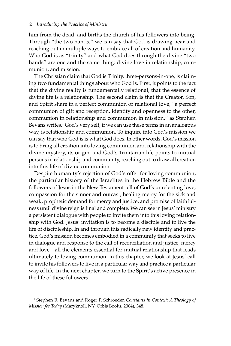him from the dead, and births the church of his followers into being. Through "the two hands," we can say that God is drawing near and reaching out in multiple ways to embrace all of creation and humanity. Who God is as "trinity" and what God does through the divine "two hands" are one and the same thing: divine love in relationship, communion, and mission.

The Christian claim that God is Trinity, three-persons-in-one, is claiming two fundamental things about who God is. First, it points to the fact that the divine reality is fundamentally relational, that the essence of divine life is a relationship. The second claim is that the Creator, Son, and Spirit share in a perfect communion of relational love, "a perfect communion of gift and reception, identity and openness to the other, communion in relationship and communion in mission," as Stephen Bevans writes.<sup>1</sup> God's very self, if we can use these terms in an analogous way, is relationship and communion. To inquire into God's mission we can say that who God is is what God does. In other words, God's mission is to bring all creation into loving communion and relationship with the divine mystery, its origin, and God's Trinitarian life points to mutual persons in relationship and community, reaching out to draw all creation into this life of divine communion.

Despite humanity's rejection of God's offer for loving communion, the particular history of the Israelites in the Hebrew Bible and the followers of Jesus in the New Testament tell of God's unrelenting love, compassion for the sinner and outcast, healing mercy for the sick and weak, prophetic demand for mercy and justice, and promise of faithfulness until divine reign is final and complete. We can see in Jesus' ministry a persistent dialogue with people to invite them into this loving relationship with God. Jesus' invitation is to become a disciple and to live the life of discipleship. In and through this radically new identity and practice, God's mission becomes embodied in a community that seeks to live in dialogue and response to the call of reconciliation and justice, mercy and love—all the elements essential for mutual relationship that leads ultimately to loving communion. In this chapter, we look at Jesus' call to invite his followers to live in a particular way and practice a particular way of life. In the next chapter, we turn to the Spirit's active presence in the life of these followers.

<sup>1</sup> Stephen B. Bevans and Roger P. Schroeder, *Constants in Context: A Theology of Mission for Today* (Maryknoll, NY: Orbis Books, 2004), 348.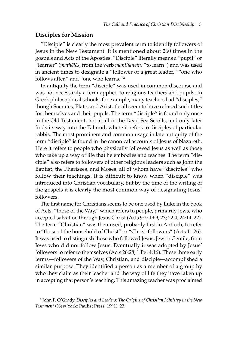#### **Disciples for Mission**

"Disciple" is clearly the most prevalent term to identify followers of Jesus in the New Testament. It is mentioned about 260 times in the gospels and Acts of the Apostles. "Disciple" literally means a "pupil" or "learner" (*math∑t∑s*, from the verb *manthanein*, "to learn") and was used in ancient times to designate a "follower of a great leader," "one who follows after," and "one who learns."2

In antiquity the term "disciple" was used in common discourse and was not necessarily a term applied to religious teachers and pupils. In Greek philosophical schools, for example, many teachers had "disciples," though Socrates, Plato, and Aristotle all seem to have refused such titles for themselves and their pupils. The term "disciple" is found only once in the Old Testament, not at all in the Dead Sea Scrolls, and only later finds its way into the Talmud, where it refers to disciples of particular rabbis. The most prominent and common usage in late antiquity of the term "disciple" is found in the canonical accounts of Jesus of Nazareth. Here it refers to people who physically followed Jesus as well as those who take up a way of life that he embodies and teaches. The term "disciple" also refers to followers of other religious leaders such as John the Baptist, the Pharisees, and Moses, all of whom have "disciples" who follow their teachings. It is difficult to know when "disciple" was introduced into Christian vocabulary, but by the time of the writing of the gospels it is clearly the most common way of designating Jesus' followers.

The first name for Christians seems to be one used by Luke in the book of Acts, "those of the Way," which refers to people, primarily Jews, who accepted salvation through Jesus Christ (Acts 9:2; 19:9, 23; 22:4; 24:14, 22). The term "Christian" was then used, probably first in Antioch, to refer to "those of the household of Christ" or "Christ-followers" (Acts 11:26). It was used to distinguish those who followed Jesus, Jew or Gentile, from Jews who did not follow Jesus. Eventually it was adopted by Jesus' followers to refer to themselves (Acts 26:28; 1 Pet 4:16). These three early terms—followers of the Way, Christian, and disciple—accomplished a similar purpose. They identified a person as a member of a group by who they claim as their teacher and the way of life they have taken up in accepting that person's teaching. This amazing teacher was proclaimed

<sup>2</sup> John F. O'Grady, *Disciples and Leaders: The Origins of Christian Ministry in the New Testament* (New York: Paulist Press, 1991), 23.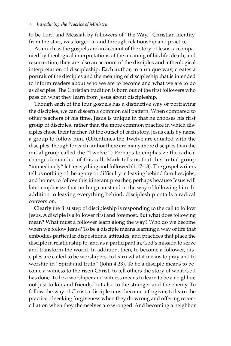to be Lord and Messiah by followers of "the Way." Christian identity, from the start, was forged in and through relationship and practice.

As much as the gospels are an account of the story of Jesus, accompanied by theological interpretations of the meaning of his life, death, and resurrection, they are also an account of the disciples and a theological interpretation of discipleship. Each author, in a unique way, creates a portrait of the disciples and the meaning of discipleship that is intended to inform readers about who we are to become and what we are to do as disciples. The Christian tradition is born out of the first followers who pass on what they learn from Jesus about discipleship.

Though each of the four gospels has a distinctive way of portraying the disciples, we can discern a common call pattern. When compared to other teachers of his time, Jesus is unique in that he chooses his first group of disciples, rather than the more common practice in which disciples chose their teacher. At the outset of each story, Jesus calls by name a group to follow him. (Oftentimes the Twelve are equated with the disciples, though for each author there are many more disciples than the initial group called the "Twelve.") Perhaps to emphasize the radical change demanded of this call, Mark tells us that this initial group "immediately" left everything and followed (1:17-18). The gospel writers tell us nothing of the agony or difficulty in leaving behind families, jobs, and homes to follow this itinerant preacher, perhaps because Jesus will later emphasize that nothing can stand in the way of following him. In addition to leaving everything behind, discipleship entails a radical conversion.

Clearly the first step of discipleship is responding to the call to follow Jesus. A disciple is a follower first and foremost. But what does following mean? What must a follower learn along the way? Who do we become when we follow Jesus? To be a disciple means learning a way of life that embodies particular dispositions, attitudes, and practices that place the disciple in relationship to, and as a participant in, God's mission to serve and transform the world. In addition, then, to become a follower, disciples are called to be worshipers, to learn what it means to pray and to worship in "Spirit and truth" (John 4:23). To be a disciple means to become a witness to the risen Christ, to tell others the story of what God has done. To be a worshiper and witness means to learn to be a neighbor, not just to kin and friends, but also to the stranger and the enemy. To follow the way of Christ a disciple must become a forgiver, to learn the practice of seeking forgiveness when they do wrong and offering reconciliation when they themselves are wronged. And becoming a neighbor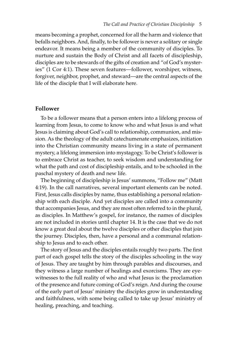means becoming a prophet, concerned for all the harm and violence that befalls neighbors. And, finally, to be follower is never a solitary or single endeavor. It means being a member of the community of disciples. To nurture and sustain the Body of Christ and all facets of discipleship, disciples are to be stewards of the gifts of creation and "of God's mysteries" (1 Cor 4:1). These seven features—follower, worshiper, witness, forgiver, neighbor, prophet, and steward—are the central aspects of the life of the disciple that I will elaborate here.

#### **Follower**

To be a follower means that a person enters into a lifelong process of learning from Jesus, to come to know who and what Jesus is and what Jesus is claiming about God's call to relationship, communion, and mission. As the theology of the adult catechumenate emphasizes, initiation into the Christian community means living in a state of permanent mystery, a lifelong immersion into mystagogy. To be Christ's follower is to embrace Christ as teacher, to seek wisdom and understanding for what the path and cost of discipleship entails, and to be schooled in the paschal mystery of death and new life.

The beginning of discipleship is Jesus' summons, "Follow me" (Matt 4:19). In the call narratives, several important elements can be noted. First, Jesus calls disciples by name, thus establishing a personal relationship with each disciple. And yet disciples are called into a community that accompanies Jesus, and they are most often referred to in the plural, as disciples. In Matthew's gospel, for instance, the names of disciples are not included in stories until chapter 14. It is the case that we do not know a great deal about the twelve disciples or other disciples that join the journey. Disciples, then, have a personal and a communal relationship to Jesus and to each other.

The story of Jesus and the disciples entails roughly two parts. The first part of each gospel tells the story of the disciples schooling in the way of Jesus. They are taught by him through parables and discourses, and they witness a large number of healings and exorcisms. They are eyewitnesses to the full reality of who and what Jesus is: the proclamation of the presence and future coming of God's reign. And during the course of the early part of Jesus' ministry the disciples grow in understanding and faithfulness, with some being called to take up Jesus' ministry of healing, preaching, and teaching.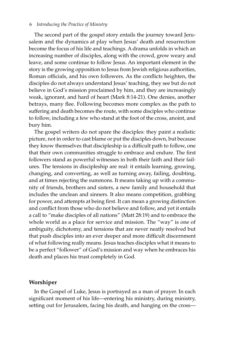#### 6 *Introducing the Practice of Ministry*

The second part of the gospel story entails the journey toward Jerusalem and the dynamics at play when Jesus' death and resurrection become the focus of his life and teachings. A drama unfolds in which an increasing number of disciples, along with the crowd, grow weary and leave, and some continue to follow Jesus. An important element in the story is the growing opposition to Jesus from Jewish religious authorities, Roman officials, and his own followers. As the conflicts heighten, the disciples do not always understand Jesus' teaching, they see but do not believe in God's mission proclaimed by him, and they are increasingly weak, ignorant, and hard of heart (Mark 8:14-21). One denies, another betrays, many flee. Following becomes more complex as the path to suffering and death becomes the route, with some disciples who continue to follow, including a few who stand at the foot of the cross, anoint, and bury him.

The gospel writers do not spare the disciples: they paint a realistic picture, not in order to cast blame or put the disciples down, but because they know themselves that discipleship is a difficult path to follow, one that their own communities struggle to embrace and endure. The first followers stand as powerful witnesses in both their faith and their failures. The tensions in discipleship are real: it entails learning, growing, changing, and converting, as well as turning away, failing, doubting, and at times rejecting the summons. It means taking up with a community of friends, brothers and sisters, a new family and household that includes the unclean and sinners. It also means competition, grabbing for power, and attempts at being first. It can mean a growing distinction and conflict from those who do not believe and follow, and yet it entails a call to "make disciples of all nations" (Matt 28:19) and to embrace the whole world as a place for service and mission. The "way" is one of ambiguity, dichotomy, and tensions that are never neatly resolved but that push disciples into an ever deeper and more difficult discernment of what following really means. Jesus teaches disciples what it means to be a perfect "follower" of God's mission and way when he embraces his death and places his trust completely in God.

#### **Worshiper**

In the Gospel of Luke, Jesus is portrayed as a man of prayer. In each significant moment of his life—entering his ministry, during ministry, setting out for Jerusalem, facing his death, and hanging on the cross—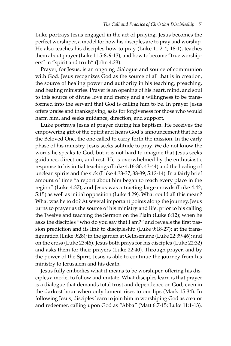Luke portrays Jesus engaged in the act of praying. Jesus becomes the perfect worshiper, a model for how his disciples are to pray and worship. He also teaches his disciples how to pray (Luke 11:2-4; 18:1), teaches them about prayer (Luke 11:5-8, 9-13), and how to become "true worshipers" in "spirit and truth" (John 4:23).

Prayer, for Jesus, is an ongoing dialogue and source of communion with God. Jesus recognizes God as the source of all that is in creation, the source of healing power and authority in his teaching, preaching, and healing ministries. Prayer is an opening of his heart, mind, and soul to this source of divine love and mercy and a willingness to be transformed into the servant that God is calling him to be. In prayer Jesus offers praise and thanksgiving, asks for forgiveness for those who would harm him, and seeks guidance, direction, and support.

Luke portrays Jesus at prayer during his baptism. He receives the empowering gift of the Spirit and hears God's announcement that he is the Beloved One, the one called to carry forth the mission. In the early phase of his ministry, Jesus seeks solitude to pray. We do not know the words he speaks to God, but it is not hard to imagine that Jesus seeks guidance, direction, and rest. He is overwhelmed by the enthusiastic response to his initial teachings (Luke 4:16-30, 43-44) and the healing of unclean spirits and the sick (Luke 4:33-37, 38-39; 5:12-14). In a fairly brief amount of time "a report about him began to reach every place in the region" (Luke 4:37), and Jesus was attracting large crowds (Luke 4:42; 5:15) as well as initial opposition (Luke 4:29). What could all this mean? What was he to do? At several important points along the journey, Jesus turns to prayer as the source of his ministry and life: prior to his calling the Twelve and teaching the Sermon on the Plain (Luke 6:12); when he asks the disciples "who do you say that I am?" and reveals the first passion prediction and its link to discipleship (Luke 9:18-27); at the transfiguration (Luke 9:28); in the garden at Gethsemane (Luke 22:39-46); and on the cross (Luke 23:46). Jesus both prays for his disciples (Luke 22:32) and asks them for their prayers (Luke 22:40). Through prayer, and by the power of the Spirit, Jesus is able to continue the journey from his ministry to Jerusalem and his death.

Jesus fully embodies what it means to be worshiper, offering his disciples a model to follow and imitate. What disciples learn is that prayer is a dialogue that demands total trust and dependence on God, even in the darkest hour when only lament rises to our lips (Mark 15:34). In following Jesus, disciples learn to join him in worshiping God as creator and redeemer, calling upon God as "Abba" (Matt 6:7-15; Luke 11:1-13).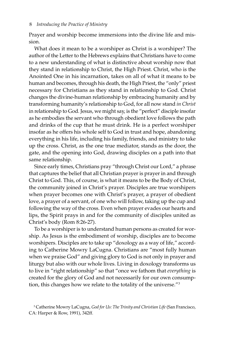Prayer and worship become immersions into the divine life and mission.

What does it mean to be a worshiper as Christ is a worshiper? The author of the Letter to the Hebrews explains that Christians have to come to a new understanding of what is distinctive about worship now that they stand in relationship to Christ, the High Priest. Christ, who is the Anointed One in his incarnation, takes on all of what it means to be human and becomes, through his death, the High Priest, the "only" priest necessary for Christians as they stand in relationship to God. Christ changes the divine-human relationship by embracing humanity and by transforming humanity's relationship to God, for all now stand *in Christ* in relationship to God. Jesus, we might say, is the "perfect" disciple insofar as he embodies the servant who through obedient love follows the path and drinks of the cup that he must drink. He is a perfect worshiper insofar as he offers his whole self to God in trust and hope, abandoning everything in his life, including his family, friends, and ministry to take up the cross. Christ, as the one true mediator, stands as the door, the gate, and the opening into God, drawing disciples on a path into that same relationship.

Since early times, Christians pray "through Christ our Lord," a phrase that captures the belief that all Christian prayer is prayer in and through Christ to God. This, of course, is what it means to be the Body of Christ, the community joined in Christ's prayer. Disciples are true worshipers when prayer becomes one with Christ's prayer, a prayer of obedient love, a prayer of a servant, of one who will follow, taking up the cup and following the way of the cross. Even when prayer evades our hearts and lips, the Spirit prays in and for the community of disciples united as Christ's body (Rom 8:26-27).

To be a worshiper is to understand human persons as created for worship. As Jesus is the embodiment of worship, disciples are to become worshipers. Disciples are to take up "doxology as a way of life," according to Catherine Mowry LaCugna. Christians are "most fully human when we praise God" and giving glory to God is not only in prayer and liturgy but also with our whole lives. Living in doxology transforms us to live in "right relationship" so that "once we fathom that *everything* is created for the glory of God and not necessarily for our own consumption, this changes how we relate to the totality of the universe."3

<sup>3</sup> Catherine Mowry LaCugna, *God for Us: The Trinity and Christian Life* (San Francisco, CA: Harper & Row, 1991), 342ff.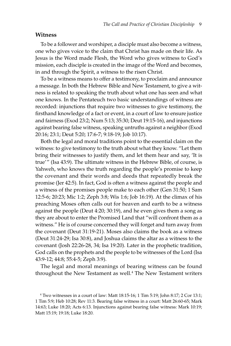#### **Witness**

To be a follower and worshiper, a disciple must also become a witness, one who gives voice to the claim that Christ has made on their life. As Jesus is the Word made Flesh, the Word who gives witness to God's mission, each disciple is created in the image of the Word and becomes, in and through the Spirit, a witness to the risen Christ.

To be a witness means to offer a testimony, to proclaim and announce a message. In both the Hebrew Bible and New Testament, to give a witness is related to speaking the truth about what one has seen and what one knows. In the Pentateuch two basic understandings of witness are recorded: injunctions that require two witnesses to give testimony, the firsthand knowledge of a fact or event, in a court of law to ensure justice and fairness (Exod 23:2; Num 5:13; 35:30; Deut 19:15-16), and injunctions against bearing false witness, speaking untruths against a neighbor (Exod 20:16; 23:1; Deut 5:20; 17:6-7; 9:18-19; Job 10:17).

Both the legal and moral traditions point to the essential claim on the witness: to give testimony to the truth about what they know. "Let them bring their witnesses to justify them, and let them hear and say, 'It is true'" (Isa 43:9). The ultimate witness in the Hebrew Bible, of course, is Yahweh, who knows the truth regarding the people's promise to keep the covenant and their words and deeds that repeatedly break the promise (Jer 42:5). In fact, God is often a witness against the people and a witness of the promises people make to each other (Gen 31:50; 1 Sam 12:5-6; 20:23; Mic 1:2; Zeph 3:8; Wis 1:6; Job 16:19). At the climax of his preaching Moses often calls out for heaven and earth to be a witness against the people (Deut 4:20; 30:19), and he even gives them a song as they are about to enter the Promised Land that "will confront them as a witness." He is of course concerned they will forget and turn away from the covenant (Deut 31:19-21). Moses also claims the book as a witness (Deut 31:24-29; Isa 30:8), and Joshua claims the altar as a witness to the covenant (Josh 22:26-28, 34; Isa 19:20). Later in the prophetic tradition, God calls on the prophets and the people to be witnesses of the Lord (Isa 43:9-12; 44:8; 55:4-5; Zeph 3:9).

The legal and moral meanings of bearing witness can be found throughout the New Testament as well.<sup>4</sup> The New Testament writers

<sup>4</sup> Two witnesses in a court of law: Matt 18:15-16; 1 Tim 5:19; John 8:17; 2 Cor 13:1; 1 Tim 5:9; Heb 10:28; Rev 11:3. Bearing false witness in a court: Matt 26:60-65; Mark 14:63; Luke 18:20; Acts 6:13. Injunctions against bearing false witness: Mark 10:19; Matt 15:19; 19:18; Luke 18:20.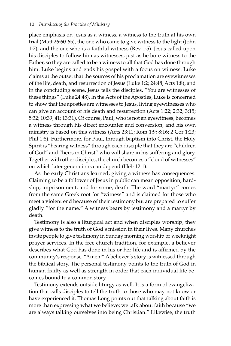place emphasis on Jesus as a witness, a witness to the truth at his own trial (Matt 26:60-65), the one who came to give witness to the light (John 1:7), and the one who is a faithful witness (Rev 1:5). Jesus called upon his disciples to follow him as witnesses, just as he bore witness to the Father, so they are called to be a witness to all that God has done through him. Luke begins and ends his gospel with a focus on witness. Luke claims at the outset that the sources of his proclamation are eyewitnesses of the life, death, and resurrection of Jesus (Luke 1:2; 24:48; Acts 1:8), and in the concluding scene, Jesus tells the disciples, "You are witnesses of these things" (Luke 24:48). In the Acts of the Apostles, Luke is concerned to show that the apostles are witnesses to Jesus, living eyewitnesses who can give an account of his death and resurrection (Acts 1:22; 2:32; 3:15; 5:32; 10:39, 41; 13:31). Of course, Paul, who is not an eyewitness, becomes a witness through his direct encounter and conversion, and his own ministry is based on this witness (Acts 23:11; Rom 1:9; 8:16; 2 Cor 1:23; Phil 1:8). Furthermore, for Paul, through baptism into Christ, the Holy Spirit is "bearing witness" through each disciple that they are "children of God" and "heirs in Christ" who will share in his suffering and glory. Together with other disciples, the church becomes a "cloud of witnesses" on which later generations can depend (Heb 12:1).

As the early Christians learned, giving a witness has consequences. Claiming to be a follower of Jesus in public can mean opposition, hardship, imprisonment, and for some, death. The word "martyr" comes from the same Greek root for "witness" and is claimed for those who meet a violent end because of their testimony but are prepared to suffer gladly "for the name." A witness bears by testimony and a martyr by death.

Testimony is also a liturgical act and when disciples worship, they give witness to the truth of God's mission in their lives. Many churches invite people to give testimony in Sunday morning worship or weeknight prayer services. In the free church tradition, for example, a believer describes what God has done in his or her life and is affirmed by the community's response, "Amen!" A believer's story is witnessed through the biblical story. The personal testimony points to the truth of God in human frailty as well as strength in order that each individual life becomes bound to a common story.

Testimony extends outside liturgy as well. It is a form of evangelization that calls disciples to tell the truth to those who may not know or have experienced it. Thomas Long points out that talking about faith is more than expressing what we believe; we talk about faith because "we are always talking ourselves into being Christian." Likewise, the truth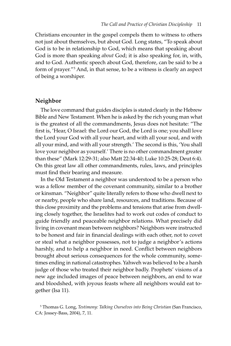Christians encounter in the gospel compels them to witness to others not just about themselves, but about God. Long states, "To speak about God is to be in relationship to God, which means that speaking about God is more than speaking *about* God; it is also speaking for, in, with, and to God. Authentic speech about God, therefore, can be said to be a form of prayer."5 And, in that sense, to be a witness is clearly an aspect of being a worshiper.

#### **Neighbor**

The love command that guides disciples is stated clearly in the Hebrew Bible and New Testament. When he is asked by the rich young man what is the greatest of all the commandments, Jesus does not hesitate: "The first is, 'Hear, O Israel: the Lord our God, the Lord is one; you shall love the Lord your God with all your heart, and with all your soul, and with all your mind, and with all your strength.' The second is this, 'You shall love your neighbor as yourself.' There is no other commandment greater than these" (Mark 12:29-31; also Matt 22:34-40; Luke 10:25-28; Deut 6:4). On this great law all other commandments, rules, laws, and principles must find their bearing and measure.

In the Old Testament a neighbor was understood to be a person who was a fellow member of the covenant community, similar to a brother or kinsman. "Neighbor" quite literally refers to those who dwell next to or nearby, people who share land, resources, and traditions. Because of this close proximity and the problems and tensions that arise from dwelling closely together, the Israelites had to work out codes of conduct to guide friendly and peaceable neighbor relations. What precisely did living in covenant mean between neighbors? Neighbors were instructed to be honest and fair in financial dealings with each other, not to covet or steal what a neighbor possesses, not to judge a neighbor's actions harshly, and to help a neighbor in need. Conflict between neighbors brought about serious consequences for the whole community, sometimes ending in national catastrophes. Yahweh was believed to be a harsh judge of those who treated their neighbor badly. Prophets' visions of a new age included images of peace between neighbors, an end to war and bloodshed, with joyous feasts where all neighbors would eat together (Isa 11).

<sup>5</sup> Thomas G. Long, *Testimony: Talking Ourselves into Being Christian* (San Francisco, CA: Jossey-Bass, 2004), 7, 11.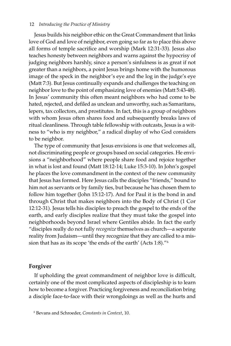#### 12 *Introducing the Practice of Ministry*

Jesus builds his neighbor ethic on the Great Commandment that links love of God and love of neighbor, even going so far as to place this above all forms of temple sacrifice and worship (Mark 12:31-33). Jesus also teaches honesty between neighbors and warns against the hypocrisy of judging neighbors harshly, since a person's sinfulness is as great if not greater than a neighbors, a point Jesus brings home with the humorous image of the speck in the neighbor's eye and the log in the judge's eye (Matt 7:3). But Jesus continually expands and challenges the teaching on neighbor love to the point of emphasizing love of enemies (Matt 5:43-48). In Jesus' community this often meant neighbors who had come to be hated, rejected, and defiled as unclean and unworthy, such as Samaritans, lepers, tax collectors, and prostitutes. In fact, this is a group of neighbors with whom Jesus often shares food and subsequently breaks laws of ritual cleanliness. Through table fellowship with outcasts, Jesus is a witness to "who is my neighbor," a radical display of who God considers to be neighbor.

The type of community that Jesus envisions is one that welcomes all, not discriminating people or groups based on social categories. He envisions a "neighborhood" where people share food and rejoice together in what is lost and found (Matt 18:12-14; Luke 15:3-10). In John's gospel he places the love commandment in the context of the new community that Jesus has formed. Here Jesus calls the disciples "friends," bound to him not as servants or by family ties, but because he has chosen them to follow him together (John 15:12-17). And for Paul it is the bond in and through Christ that makes neighbors into the Body of Christ (1 Cor 12:12-31). Jesus tells his disciples to preach the gospel to the ends of the earth, and early disciples realize that they must take the gospel into neighborhoods beyond Israel where Gentiles abide. In fact the early "disciples really do not fully *recognize* themselves as church—a separate reality from Judaism—until they recognize that they are called to a mission that has as its scope 'the ends of the earth' (Acts 1:8)."6

#### **Forgiver**

If upholding the great commandment of neighbor love is difficult, certainly one of the most complicated aspects of discipleship is to learn how to become a forgiver. Practicing forgiveness and reconciliation bring a disciple face-to-face with their wrongdoings as well as the hurts and

<sup>6</sup> Bevans and Schroeder, *Constants in Context*, 10.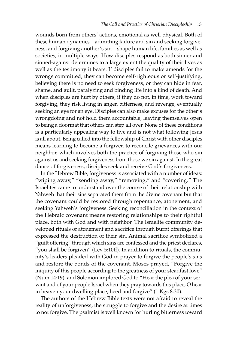wounds born from others' actions, emotional as well physical. Both of these human dynamics—admitting failure and sin and seeking forgiveness, and forgiving another's sin—shape human life, families as well as societies, in multiple ways. How disciples respond as both sinner and sinned-against determines to a large extent the quality of their lives as well as the testimony it bears. If disciples fail to make amends for the wrongs committed, they can become self-righteous or self-justifying, believing there is no need to seek forgiveness, or they can hide in fear, shame, and guilt, paralyzing and binding life into a kind of death. And when disciples are hurt by others, if they do not, in time, work toward forgiving, they risk living in anger, bitterness, and revenge, eventually seeking an eye for an eye. Disciples can also make excuses for the other's wrongdoing and not hold them accountable, leaving themselves open to being a doormat that others can step all over. None of these conditions is a particularly appealing way to live and is not what following Jesus is all about. Being called into the fellowship of Christ with other disciples means learning to become a forgiver, to reconcile grievances with our neighbor, which involves both the practice of forgiving those who sin against us and seeking forgiveness from those we sin against. In the great dance of forgiveness, disciples seek and receive God's forgiveness.

In the Hebrew Bible, forgiveness is associated with a number of ideas: "wiping away," "sending away," "removing," and "covering." The Israelites came to understand over the course of their relationship with Yahweh that their sins separated them from the divine covenant but that the covenant could be restored through repentance, atonement, and seeking Yahweh's forgiveness. Seeking reconciliation in the context of the Hebraic covenant means restoring relationships to their rightful place, both with God and with neighbor. The Israelite community developed rituals of atonement and sacrifice through burnt offerings that expressed the destruction of their sin. Animal sacrifice symbolized a "guilt offering" through which sins are confessed and the priest declares, "you shall be forgiven" (Lev 5:10ff). In addition to rituals, the community's leaders pleaded with God in prayer to forgive the people's sins and restore the bonds of the covenant. Moses prayed, "Forgive the iniquity of this people according to the greatness of your steadfast love" (Num 14:19), and Solomon implored God to "Hear the plea of your servant and of your people Israel when they pray towards this place; O hear in heaven your dwelling place; heed and forgive" (1 Kgs 8:30).

The authors of the Hebrew Bible texts were not afraid to reveal the reality of unforgiveness, the struggle to forgive and the desire at times to not forgive. The psalmist is well known for hurling bitterness toward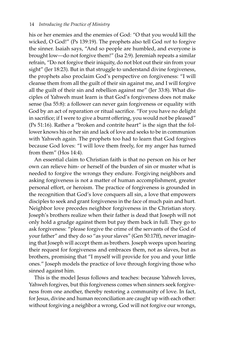his or her enemies and the enemies of God: "O that you would kill the wicked, O God!" (Ps 139:19). The prophets also tell God *not* to forgive the sinner. Isaiah says, "And so people are humbled, and everyone is brought low—do not forgive them!" (Isa 2:9). Jeremiah repeats a similar refrain, "Do not forgive their iniquity, do not blot out their sin from your sight" (Jer 18:23). But in that struggle to understand divine forgiveness, the prophets also proclaim God's perspective on forgiveness: "I will cleanse them from all the guilt of their sin against me, and I will forgive all the guilt of their sin and rebellion against me" (Jer 33:8). What disciples of Yahweh must learn is that God's forgiveness does not make sense (Isa 55:8): a follower can never gain forgiveness or equality with God by an act of reparation or ritual sacrifice. "For you have no delight in sacrifice; if I were to give a burnt offering, you would not be pleased" (Ps 51:16). Rather a "broken and contrite heart" is the sign that the follower knows his or her sin and lack of love and seeks to be in communion with Yahweh again. The prophets too had to learn that God forgives because God loves: "I will love them freely, for my anger has turned from them" (Hos 14:4).

An essential claim to Christian faith is that no person on his or her own can relieve him- or herself of the burden of sin or muster what is needed to forgive the wrongs they endure. Forgiving neighbors and asking forgiveness is not a matter of human accomplishment, greater personal effort, or heroism. The practice of forgiveness is grounded in the recognition that God's love conquers all sin, a love that empowers disciples to seek and grant forgiveness in the face of much pain and hurt. Neighbor love precedes neighbor forgiveness in the Christian story. Joseph's brothers realize when their father is dead that Joseph will not only hold a grudge against them but pay them back in full. They go to ask forgiveness: "please forgive the crime of the servants of the God of your father" and they do so "as your slaves" (Gen 50:17ff), never imagining that Joseph will accept them as brothers. Joseph weeps upon hearing their request for forgiveness and embraces them, not as slaves, but as brothers, promising that "I myself will provide for you and your little ones." Joseph models the practice of love through forgiving those who sinned against him.

This is the model Jesus follows and teaches: because Yahweh loves, Yahweh forgives, but this forgiveness comes when sinners seek forgiveness from one another, thereby restoring a community of love. In fact, for Jesus, divine and human reconciliation are caught up with each other: without forgiving a neighbor a wrong, God will not forgive our wrongs,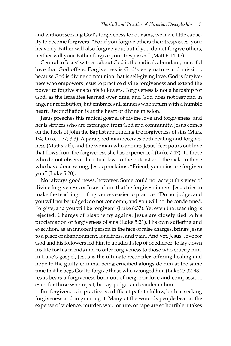and without seeking God's forgiveness for our sins, we have little capacity to become forgivers. "For if you forgive others their trespasses, your heavenly Father will also forgive you; but if you do not forgive others, neither will your Father forgive your trespasses" (Matt 6:14-15).

Central to Jesus' witness about God is the radical, abundant, merciful love that God offers. Forgiveness is God's very nature and mission, because God is divine communion that is self-giving love. God is forgiveness who empowers Jesus to practice divine forgiveness and extend the power to forgive sins to his followers. Forgiveness is not a hardship for God, as the Israelites learned over time, and God does not respond in anger or retribution, but embraces all sinners who return with a humble heart. Reconciliation is at the heart of divine mission.

Jesus preaches this radical gospel of divine love and forgiveness, and heals sinners who are estranged from God and community. Jesus comes on the heels of John the Baptist announcing the forgiveness of sins (Mark 1:4; Luke 1:77; 3:3). A paralyzed man receives both healing and forgiveness (Matt 9:2ff), and the woman who anoints Jesus' feet pours out love that flows from the forgiveness she has experienced (Luke 7:47). To those who do not observe the ritual law, to the outcast and the sick, to those who have done wrong, Jesus proclaims, "Friend, your sins are forgiven you" (Luke 5:20).

Not always good news, however. Some could not accept this view of divine forgiveness, or Jesus' claim that he forgives sinners. Jesus tries to make the teaching on forgiveness easier to practice: "Do not judge, and you will not be judged; do not condemn, and you will not be condemned. Forgive, and you will be forgiven" (Luke 6:37). Yet even that teaching is rejected. Charges of blasphemy against Jesus are closely tied to his proclamation of forgiveness of sins (Luke 5:21). His own suffering and execution, as an innocent person in the face of false charges, brings Jesus to a place of abandonment, loneliness, and pain. And yet, Jesus' love for God and his followers led him to a radical step of obedience, to lay down his life for his friends and to offer forgiveness to those who crucify him. In Luke's gospel, Jesus is the ultimate reconciler, offering healing and hope to the guilty criminal being crucified alongside him at the same time that he begs God to forgive those who wronged him (Luke 23:32-43). Jesus bears a forgiveness born out of neighbor love and compassion, even for those who reject, betray, judge, and condemn him.

But forgiveness in practice is a difficult path to follow, both in seeking forgiveness and in granting it. Many of the wounds people bear at the expense of violence, murder, war, torture, or rape are so horrible it takes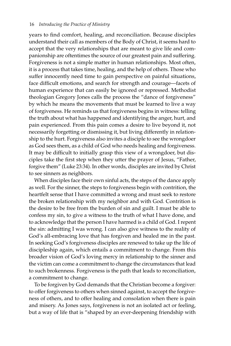years to find comfort, healing, and reconciliation. Because disciples understand their call as members of the Body of Christ, it seems hard to accept that the very relationships that are meant to give life and companionship are oftentimes the source of our greatest pain and suffering. Forgiveness is not a simple matter in human relationships. Most often, it is a process that takes time, healing, and the help of others. Those who suffer innocently need time to gain perspective on painful situations, face difficult emotions, and search for strength and courage—facets of human experience that can easily be ignored or repressed. Methodist theologian Gregory Jones calls the process the "dance of forgiveness" by which he means the movements that must be learned to live a way of forgiveness. He reminds us that forgiveness begins in witness: telling the truth about what has happened and identifying the anger, hurt, and pain experienced. From this pain comes a desire to live beyond it, not necessarily forgetting or dismissing it, but living differently in relationship to the hurt. Forgiveness also invites a disciple to see the wrongdoer as God sees them, as a child of God who needs healing and forgiveness. It may be difficult to initially grasp this view of a wrongdoer, but disciples take the first step when they utter the prayer of Jesus, "Father, forgive them" (Luke 23:34). In other words, disciples are invited by Christ to see sinners as neighbors.

When disciples face their own sinful acts, the steps of the dance apply as well. For the sinner, the steps to forgiveness begin with contrition, the heartfelt sense that I have committed a wrong and must seek to restore the broken relationship with my neighbor and with God. Contrition is the desire to be free from the burden of sin and guilt. I must be able to confess my sin, to give a witness to the truth of what I have done, and to acknowledge that the person I have harmed is a child of God. I repent the sin: admitting I was wrong. I can also give witness to the reality of God's all-embracing love that has forgiven and healed me in the past. In seeking God's forgiveness disciples are renewed to take up the life of discipleship again, which entails a commitment to change. From this broader vision of God's loving mercy in relationship to the sinner and the victim can come a commitment to change the circumstances that lead to such brokenness. Forgiveness is the path that leads to reconciliation, a commitment to change.

To be forgiven by God demands that the Christian become a forgiver: to offer forgiveness to others when sinned against, to accept the forgiveness of others, and to offer healing and consolation when there is pain and misery. As Jones says, forgiveness is not an isolated act or feeling, but a way of life that is "shaped by an ever-deepening friendship with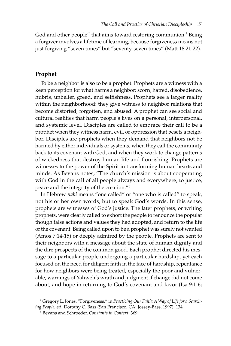God and other people" that aims toward restoring communion.<sup>7</sup> Being a forgiver involves a lifetime of learning, because forgiveness means not just forgiving "seven times" but "seventy-seven times" (Matt 18:21-22).

#### **Prophet**

To be a neighbor is also to be a prophet. Prophets are a witness with a keen perception for what harms a neighbor: scorn, hatred, disobedience, hubris, unbelief, greed, and selfishness. Prophets see a larger reality within the neighborhood: they give witness to neighbor relations that become distorted, forgotten, and abused. A prophet can see social and cultural realities that harm people's lives on a personal, interpersonal, and systemic level. Disciples are called to embrace their call to be a prophet when they witness harm, evil, or oppression that besets a neighbor. Disciples are prophets when they demand that neighbors not be harmed by either individuals or systems, when they call the community back to its covenant with God, and when they work to change patterns of wickedness that destroy human life and flourishing. Prophets are witnesses to the power of the Spirit in transforming human hearts and minds. As Bevans notes, "The church's mission is about cooperating with God in the call of all people always and everywhere, to justice, peace and the integrity of the creation."8

In Hebrew *nabi* means "one called" or "one who is called" to speak, not his or her own words, but to speak God's words. In this sense, prophets are witnesses of God's justice. The later prophets, or writing prophets, were clearly called to exhort the people to renounce the popular though false actions and values they had adopted, and return to the life of the covenant. Being called upon to be a prophet was surely not wanted (Amos 7:14-15) or deeply admired by the people. Prophets are sent to their neighbors with a message about the state of human dignity and the dire prospects of the common good. Each prophet directed his message to a particular people undergoing a particular hardship, yet each focused on the need for diligent faith in the face of hardship, repentance for how neighbors were being treated, especially the poor and vulnerable, warnings of Yahweh's wrath and judgment if change did not come about, and hope in returning to God's covenant and favor (Isa 9:1-6;

<sup>7</sup> Gregory L. Jones, "Forgiveness," in *Practicing Our Faith: A Way of Life for a Searching People*, ed. Dorothy C. Bass (San Francisco, CA: Jossey-Bass, 1997), 134.

<sup>8</sup> Bevans and Schroeder, *Constants in Context*, 369.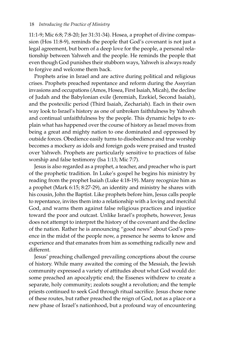#### 18 *Introducing the Practice of Ministry*

11:1-9; Mic 6:8; 7:8-20; Jer 31:31-34). Hosea, a prophet of divine compassion (Hos 11:8-9), reminds the people that God's covenant is not just a legal agreement, but born of a deep love for the people, a personal relationship between Yahweh and the people. He reminds the people that even though God punishes their stubborn ways, Yahweh is always ready to forgive and welcome them back.

Prophets arise in Israel and are active during political and religious crises. Prophets preached repentance and reform during the Assyrian invasions and occupations (Amos, Hosea, First Isaiah, Micah), the decline of Judah and the Babylonian exile (Jeremiah, Ezekiel, Second Isaiah), and the postexilic period (Third Isaiah, Zechariah). Each in their own way look to Israel's history as one of unbroken faithfulness by Yahweh and continual unfaithfulness by the people. This dynamic helps to explain what has happened over the course of history as Israel moves from being a great and mighty nation to one dominated and oppressed by outside forces. Obedience easily turns to disobedience and true worship becomes a mockery as idols and foreign gods were praised and trusted over Yahweh. Prophets are particularly sensitive to practices of false worship and false testimony (Isa 1:13; Mic 7:7).

Jesus is also regarded as a prophet, a teacher, and preacher who is part of the prophetic tradition. In Luke's gospel he begins his ministry by reading from the prophet Isaiah (Luke 4:18-19). Many recognize him as a prophet (Mark 6:15; 8:27-29), an identity and ministry he shares with his cousin, John the Baptist. Like prophets before him, Jesus calls people to repentance, invites them into a relationship with a loving and merciful God, and warns them against false religious practices and injustice toward the poor and outcast. Unlike Israel's prophets, however, Jesus does not attempt to interpret the history of the covenant and the decline of the nation. Rather he is announcing "good news" about God's presence in the midst of the people now, a presence he seems to know and experience and that emanates from him as something radically new and different.

Jesus' preaching challenged prevailing conceptions about the course of history. While many awaited the coming of the Messiah, the Jewish community expressed a variety of attitudes about what God would do: some preached an apocalyptic end; the Essenes withdrew to create a separate, holy community; zealots sought a revolution; and the temple priests continued to seek God through ritual sacrifice. Jesus chose none of these routes, but rather preached the reign of God, not as a place or a new phase of Israel's nationhood, but a profound way of encountering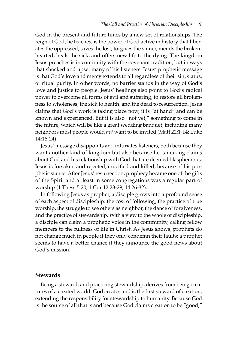God in the present and future times by a new set of relationships. The reign of God, he teaches, is the power of God active in history that liberates the oppressed, saves the lost, forgives the sinner, mends the brokenhearted, heals the sick, and offers new life to the dying. The kingdom Jesus preaches is in continuity with the covenant tradition, but in ways that shocked and upset many of his listeners. Jesus' prophetic message is that God's love and mercy extends to all regardless of their sin, status, or ritual purity. In other words, no barrier stands in the way of God's love and justice to people. Jesus' healings also point to God's radical power to overcome all forms of evil and suffering, to restore all brokenness to wholeness, the sick to health, and the dead to resurrection. Jesus claims that God's work is taking place now, it is "at hand" and can be known and experienced. But it is also "not yet," something to come in the future, which will be like a great wedding banquet, including many neighbors most people would *not* want to be invited (Matt 22:1-14; Luke 14:16-24).

Jesus' message disappoints and infuriates listeners, both because they want another kind of kingdom but also because he is making claims about God and his relationship with God that are deemed blasphemous. Jesus is forsaken and rejected, crucified and killed, because of his prophetic stance. After Jesus' resurrection, prophecy became one of the gifts of the Spirit and at least in some congregations was a regular part of worship (1 Thess 5:20; 1 Cor 12:28-29; 14:26-32).

In following Jesus as prophet, a disciple grows into a profound sense of each aspect of discipleship: the cost of following, the practice of true worship, the struggle to see others as neighbor, the dance of forgiveness, and the practice of stewardship. With a view to the whole of discipleship, a disciple can claim a prophetic voice in the community, calling fellow members to the fullness of life in Christ. As Jesus shows, prophets do not change much in people if they only condemn their faults; a prophet seems to have a better chance if they announce the good news about God's mission.

#### **Stewards**

Being a steward, and practicing stewardship, derives from being creatures of a created world. God creates and is the first steward of creation, extending the responsibility for stewardship to humanity. Because God is the source of all that is and because God claims creation to be "good,"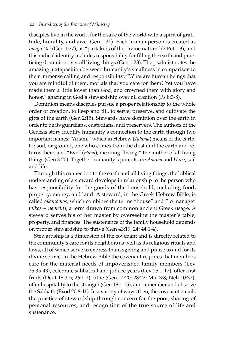disciples live in the world for the sake of the world with a spirit of gratitude, humility, and awe (Gen 1:31). Each human person is created as *imago Dei* (Gen 1:27), as "partakers of the divine nature" (2 Pet 1:3), and this radical identity includes responsibility for filling the earth and practicing dominion over all living things (Gen 1:28). The psalmist notes the amazing juxtaposition between humanity's smallness in comparison to their immense calling and responsibility: "What are human beings that you are mindful of them, mortals that you care for them? Yet you have made them a little lower than God, and crowned them with glory and honor," sharing in God's stewardship over all creation (Ps 8:3-8).

Dominion means disciples pursue a proper relationship to the whole order of creation, to keep and till, to serve, preserve, and cultivate the gifts of the earth (Gen 2:15). Stewards have dominion over the earth in order to be its guardians, custodians, and preservers. The authors of the Genesis story identify humanity's connection to the earth through two important names: "Adam," which in Hebrew (*Adama*) means of the earth, topsoil, or ground, one who comes from the dust and the earth and returns there; and "Eve" (*Hava*), meaning "living," the mother of all living things (Gen 3:20). Together humanity's parents are *Adama* and *Hava*, soil and life.

Through this connection to the earth and all living things, the biblical understanding of a steward develops in relationship to the person who has responsibility for the goods of the household, including food, property, money, and land. A steward, in the Greek Hebrew Bible, is called *oikonomos*, which combines the terms "house" and "to manage" (*oikos* + *nemein*), a term drawn from common ancient Greek usage. A steward serves his or her master by overseeing the master's table, property, and finances. The sustenance of the family household depends on proper stewardship to thrive (Gen 43:19, 24; 44:1-4).

Stewardship is a dimension of the covenant and is directly related to the community's care for its neighbors as well as its religious rituals and laws, all of which serve to express thanksgiving and praise to and for its divine source. In the Hebrew Bible the covenant requires that members care for the material needs of impoverished family members (Lev 25:35-43), celebrate sabbatical and jubilee years (Lev 25:1-17), offer first fruits (Deut 18:3-5; 26:1-2), tithe (Gen 14:20; 28:22; Mal 3:8; Neh 10:37), offer hospitality to the stranger (Gen 18:1-15), and remember and observe the Sabbath (Exod 20:8-11). In a variety of ways, then, the covenant entails the practice of stewardship through concern for the poor, sharing of personal resources, and recognition of the true source of life and sustenance.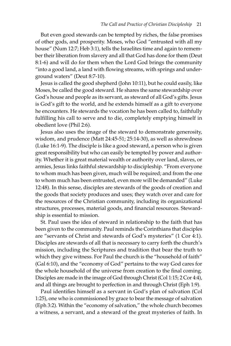But even good stewards can be tempted by riches, the false promises of other gods, and prosperity. Moses, who God "entrusted with all my house" (Num 12:7; Heb 3:1), tells the Israelites time and again to remember their liberation from slavery and all that God has done for them (Deut 8:1-6) and will do for them when the Lord God brings the community "into a good land, a land with flowing streams, with springs and underground waters" (Deut 8:7-10).

Jesus is called the good shepherd (John 10:11), but he could easily, like Moses, be called the good steward. He shares the same stewardship over God's house and people as its servant, as steward of all God's gifts. Jesus is God's gift to the world, and he extends himself as a gift to everyone he encounters. He stewards the vocation he has been called to, faithfully fulfilling his call to serve and to die, completely emptying himself in obedient love (Phil 2:6).

Jesus also uses the image of the steward to demonstrate generosity, wisdom, and prudence (Matt 24:45-51; 25:14-30), as well as shrewdness (Luke 16:1-9). The disciple is like a good steward, a person who is given great responsibility but who can easily be tempted by power and authority. Whether it is great material wealth or authority over land, slaves, or armies, Jesus links faithful stewardship to discipleship. "From everyone to whom much has been given, much will be required; and from the one to whom much has been entrusted, even more will be demanded" (Luke 12:48). In this sense, disciples are stewards of the goods of creation and the goods that society produces and uses; they watch over and care for the resources of the Christian community, including its organizational structures, processes, material goods, and financial resources. Stewardship is essential to mission.

St. Paul uses the idea of steward in relationship to the faith that has been given to the community. Paul reminds the Corinthians that disciples are "servants of Christ and stewards of God's mysteries" (1 Cor 4:1). Disciples are stewards of all that is necessary to carry forth the church's mission, including the Scriptures and tradition that bear the truth to which they give witness. For Paul the church is the "household of faith" (Gal 6:10), and the "economy of God" pertains to the way God cares for the whole household of the universe from creation to the final coming. Disciples are made in the image of God through Christ (Col 1:15; 2 Cor 4:4), and all things are brought to perfection in and through Christ (Eph 1:9).

Paul identifies himself as a servant in God's plan of salvation (Col 1:25), one who is commissioned by grace to bear the message of salvation (Eph 3:2). Within the "economy of salvation," the whole church becomes a witness, a servant, and a steward of the great mysteries of faith. In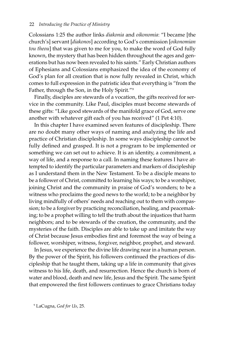Colossians 1:25 the author links *diakonia* and *oikonomia*: "I became [the church's] servant [*diakonos*] according to God's commission [*oikonomian tou theou*] that was given to me for you, to make the word of God fully known, the mystery that has been hidden throughout the ages and generations but has now been revealed to his saints." Early Christian authors of Ephesians and Colossians emphasized the idea of the economy of God's plan for all creation that is now fully revealed in Christ, which comes to full expression in the patristic idea that everything is "from the Father, through the Son, in the Holy Spirit."9

Finally, disciples are stewards of a vocation, the gifts received for service in the community. Like Paul, disciples must become stewards of these gifts: "Like good stewards of the manifold grace of God, serve one another with whatever gift each of you has received" (1 Pet 4:10).

In this chapter I have examined seven features of discipleship. There are no doubt many other ways of naming and analyzing the life and practice of Christian discipleship. In some ways discipleship cannot be fully defined and grasped. It is not a program to be implemented or something we can set out to achieve. It is an identity, a commitment, a way of life, and a response to a call. In naming these features I have attempted to identify the particular parameters and markers of discipleship as I understand them in the New Testament. To be a disciple means to be a follower of Christ, committed to learning his ways; to be a worshiper, joining Christ and the community in praise of God's wonders; to be a witness who proclaims the good news to the world; to be a neighbor by living mindfully of others' needs and reaching out to them with compassion; to be a forgiver by practicing reconciliation, healing, and peacemaking; to be a prophet willing to tell the truth about the injustices that harm neighbors; and to be stewards of the creation, the community, and the mysteries of the faith. Disciples are able to take up and imitate the way of Christ because Jesus embodies first and foremost the way of being a follower, worshiper, witness, forgiver, neighbor, prophet, and steward.

In Jesus, we experience the divine life drawing near in a human person. By the power of the Spirit, his followers continued the practices of discipleship that he taught them, taking up a life in community that gives witness to his life, death, and resurrection. Hence the church is born of water and blood, death and new life, Jesus and the Spirit. The same Spirit that empowered the first followers continues to grace Christians today

9 LaCugna, *God for Us*, 25.